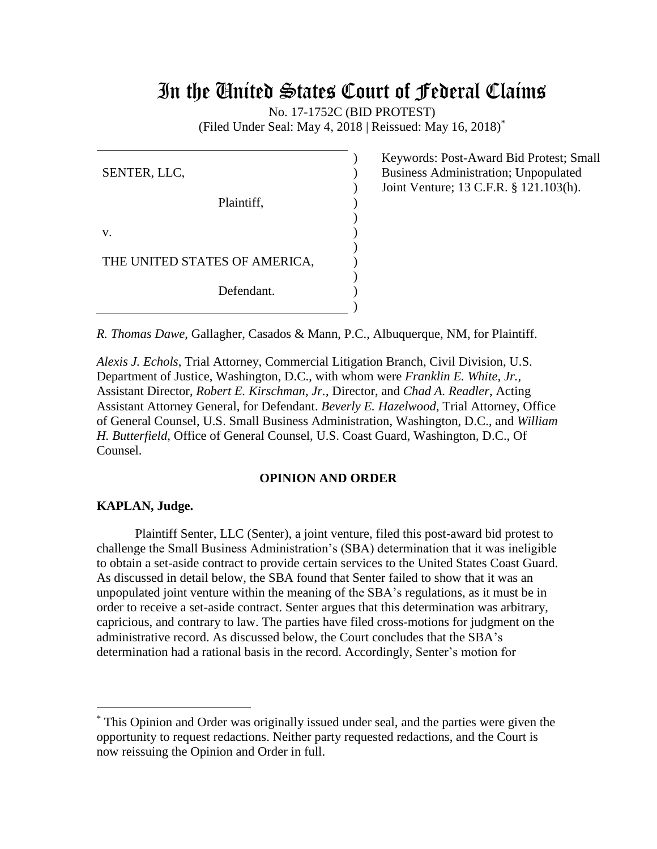# In the United States Court of Federal Claims

No. 17-1752C (BID PROTEST)

(Filed Under Seal: May 4, 2018 | Reissued: May 16, 2018) \*

) ) ) ) ) ) )

SENTER, LLC, Plaintiff, v. THE UNITED STATES OF AMERICA, Defendant. ) )  $\mathcal{L}$ )

Keywords: Post-Award Bid Protest; Small Business Administration; Unpopulated Joint Venture; 13 C.F.R. § 121.103(h).

*R. Thomas Dawe*, Gallagher, Casados & Mann, P.C., Albuquerque, NM, for Plaintiff.

*Alexis J. Echols*, Trial Attorney, Commercial Litigation Branch, Civil Division, U.S. Department of Justice, Washington, D.C., with whom were *Franklin E. White, Jr.*, Assistant Director, *Robert E. Kirschman, Jr.*, Director, and *Chad A. Readler*, Acting Assistant Attorney General, for Defendant. *Beverly E. Hazelwood*, Trial Attorney, Office of General Counsel, U.S. Small Business Administration, Washington, D.C., and *William H. Butterfield*, Office of General Counsel, U.S. Coast Guard, Washington, D.C., Of Counsel.

#### **OPINION AND ORDER**

#### **KAPLAN, Judge.**

 $\overline{a}$ 

Plaintiff Senter, LLC (Senter), a joint venture, filed this post-award bid protest to challenge the Small Business Administration's (SBA) determination that it was ineligible to obtain a set-aside contract to provide certain services to the United States Coast Guard. As discussed in detail below, the SBA found that Senter failed to show that it was an unpopulated joint venture within the meaning of the SBA's regulations, as it must be in order to receive a set-aside contract. Senter argues that this determination was arbitrary, capricious, and contrary to law. The parties have filed cross-motions for judgment on the administrative record. As discussed below, the Court concludes that the SBA's determination had a rational basis in the record. Accordingly, Senter's motion for

<sup>\*</sup> This Opinion and Order was originally issued under seal, and the parties were given the opportunity to request redactions. Neither party requested redactions, and the Court is now reissuing the Opinion and Order in full.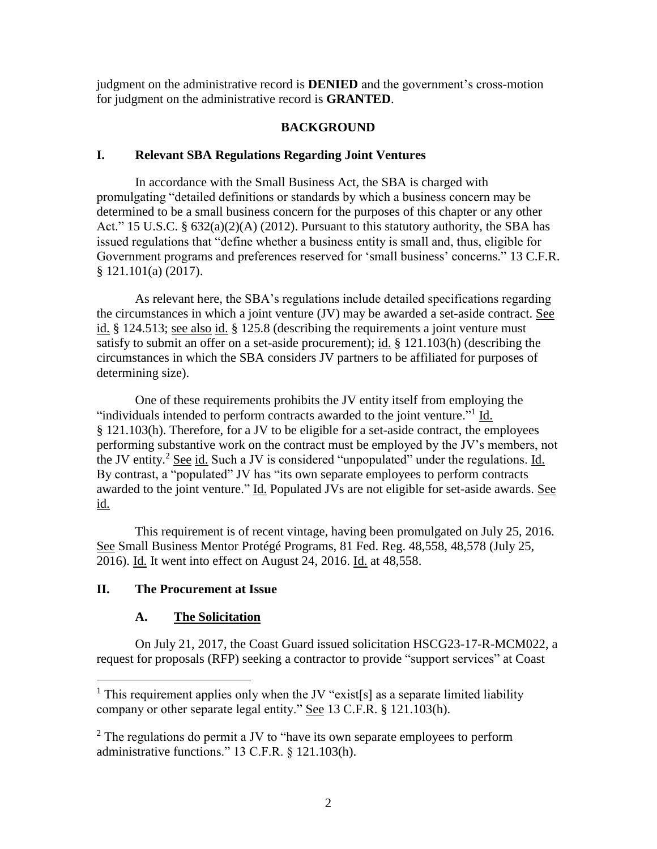judgment on the administrative record is **DENIED** and the government's cross-motion for judgment on the administrative record is **GRANTED**.

# **BACKGROUND**

## **I. Relevant SBA Regulations Regarding Joint Ventures**

In accordance with the Small Business Act, the SBA is charged with promulgating "detailed definitions or standards by which a business concern may be determined to be a small business concern for the purposes of this chapter or any other Act." 15 U.S.C. § 632(a)(2)(A) (2012). Pursuant to this statutory authority, the SBA has issued regulations that "define whether a business entity is small and, thus, eligible for Government programs and preferences reserved for 'small business' concerns." 13 C.F.R. § 121.101(a) (2017).

As relevant here, the SBA's regulations include detailed specifications regarding the circumstances in which a joint venture (JV) may be awarded a set-aside contract. See id. § 124.513; see also id. § 125.8 (describing the requirements a joint venture must satisfy to submit an offer on a set-aside procurement); id. § 121.103(h) (describing the circumstances in which the SBA considers JV partners to be affiliated for purposes of determining size).

One of these requirements prohibits the JV entity itself from employing the "individuals intended to perform contracts awarded to the joint venture."<sup>1</sup> Id. § 121.103(h). Therefore, for a JV to be eligible for a set-aside contract, the employees performing substantive work on the contract must be employed by the JV's members, not the JV entity.<sup>2</sup> See id. Such a JV is considered "unpopulated" under the regulations. Id. By contrast, a "populated" JV has "its own separate employees to perform contracts awarded to the joint venture." Id. Populated JVs are not eligible for set-aside awards. See id.

This requirement is of recent vintage, having been promulgated on July 25, 2016. See Small Business Mentor Protégé Programs, 81 Fed. Reg. 48,558, 48,578 (July 25, 2016). Id. It went into effect on August 24, 2016. Id. at 48,558.

# **II. The Procurement at Issue**

# **A. The Solicitation**

On July 21, 2017, the Coast Guard issued solicitation HSCG23-17-R-MCM022, a request for proposals (RFP) seeking a contractor to provide "support services" at Coast

<sup>&</sup>lt;sup>1</sup> This requirement applies only when the JV "exist[s] as a separate limited liability company or other separate legal entity." See 13 C.F.R. § 121.103(h).

 $2$  The regulations do permit a JV to "have its own separate employees to perform administrative functions." 13 C.F.R. § 121.103(h).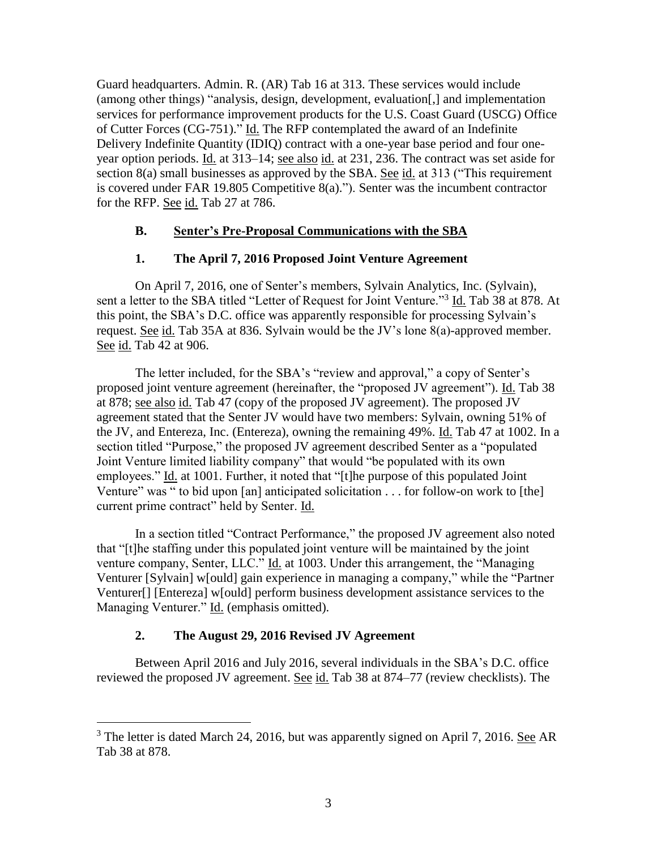Guard headquarters. Admin. R. (AR) Tab 16 at 313. These services would include (among other things) "analysis, design, development, evaluation[,] and implementation services for performance improvement products for the U.S. Coast Guard (USCG) Office of Cutter Forces (CG-751)." Id. The RFP contemplated the award of an Indefinite Delivery Indefinite Quantity (IDIQ) contract with a one-year base period and four oneyear option periods. Id. at 313–14; see also id. at 231, 236. The contract was set aside for section 8(a) small businesses as approved by the SBA. See id. at 313 ("This requirement is covered under FAR 19.805 Competitive 8(a)."). Senter was the incumbent contractor for the RFP. See id. Tab 27 at 786.

# **B. Senter's Pre-Proposal Communications with the SBA**

## **1. The April 7, 2016 Proposed Joint Venture Agreement**

On April 7, 2016, one of Senter's members, Sylvain Analytics, Inc. (Sylvain), sent a letter to the SBA titled "Letter of Request for Joint Venture."<sup>3</sup> Id. Tab 38 at 878. At this point, the SBA's D.C. office was apparently responsible for processing Sylvain's request. See id. Tab 35A at 836. Sylvain would be the JV's lone 8(a)-approved member. See id. Tab 42 at 906.

The letter included, for the SBA's "review and approval," a copy of Senter's proposed joint venture agreement (hereinafter, the "proposed JV agreement"). Id. Tab 38 at 878; see also id. Tab 47 (copy of the proposed JV agreement). The proposed JV agreement stated that the Senter JV would have two members: Sylvain, owning 51% of the JV, and Entereza, Inc. (Entereza), owning the remaining 49%. Id. Tab 47 at 1002. In a section titled "Purpose," the proposed JV agreement described Senter as a "populated Joint Venture limited liability company" that would "be populated with its own employees." Id. at 1001. Further, it noted that "[t]he purpose of this populated Joint Venture" was " to bid upon [an] anticipated solicitation . . . for follow-on work to [the] current prime contract" held by Senter. Id.

In a section titled "Contract Performance," the proposed JV agreement also noted that "[t]he staffing under this populated joint venture will be maintained by the joint venture company, Senter, LLC." Id. at 1003. Under this arrangement, the "Managing Venturer [Sylvain] w[ould] gain experience in managing a company," while the "Partner Venturer[] [Entereza] w[ould] perform business development assistance services to the Managing Venturer." Id. (emphasis omitted).

## **2. The August 29, 2016 Revised JV Agreement**

 $\overline{a}$ 

Between April 2016 and July 2016, several individuals in the SBA's D.C. office reviewed the proposed JV agreement. See id. Tab 38 at 874–77 (review checklists). The

 $3$  The letter is dated March 24, 2016, but was apparently signed on April 7, 2016. See AR Tab 38 at 878.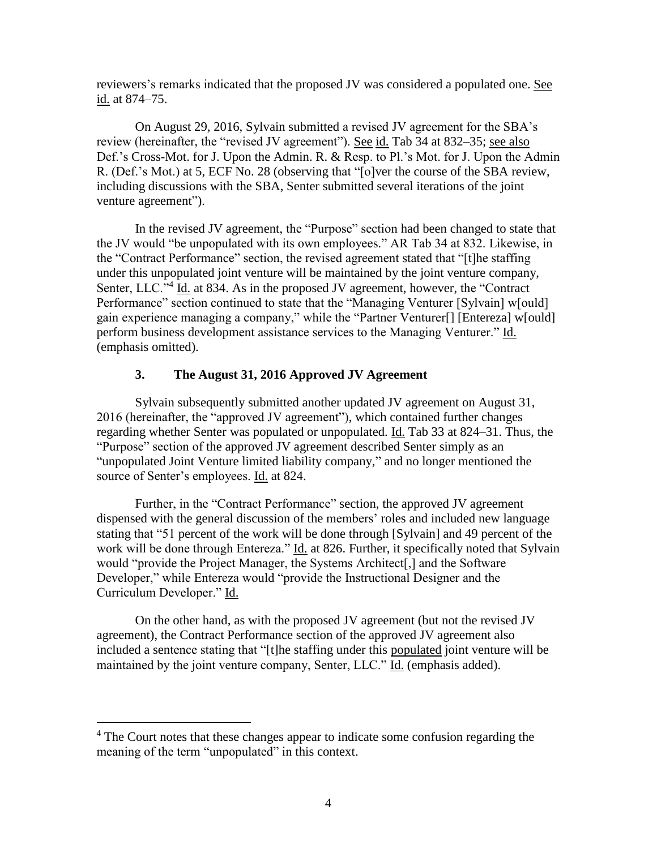reviewers's remarks indicated that the proposed JV was considered a populated one. See id. at 874–75.

On August 29, 2016, Sylvain submitted a revised JV agreement for the SBA's review (hereinafter, the "revised JV agreement"). See id. Tab 34 at 832–35; see also Def.'s Cross-Mot. for J. Upon the Admin. R. & Resp. to Pl.'s Mot. for J. Upon the Admin R. (Def.'s Mot.) at 5, ECF No. 28 (observing that "[o]ver the course of the SBA review, including discussions with the SBA, Senter submitted several iterations of the joint venture agreement").

In the revised JV agreement, the "Purpose" section had been changed to state that the JV would "be unpopulated with its own employees." AR Tab 34 at 832. Likewise, in the "Contract Performance" section, the revised agreement stated that "[t]he staffing under this unpopulated joint venture will be maintained by the joint venture company, Senter, LLC."<sup>4</sup> Id. at 834. As in the proposed JV agreement, however, the "Contract Performance" section continued to state that the "Managing Venturer [Sylvain] w[ould] gain experience managing a company," while the "Partner Venturer[] [Entereza] w[ould] perform business development assistance services to the Managing Venturer." Id. (emphasis omitted).

# **3. The August 31, 2016 Approved JV Agreement**

Sylvain subsequently submitted another updated JV agreement on August 31, 2016 (hereinafter, the "approved JV agreement"), which contained further changes regarding whether Senter was populated or unpopulated. Id. Tab 33 at 824–31. Thus, the "Purpose" section of the approved JV agreement described Senter simply as an "unpopulated Joint Venture limited liability company," and no longer mentioned the source of Senter's employees. Id. at 824.

Further, in the "Contract Performance" section, the approved JV agreement dispensed with the general discussion of the members' roles and included new language stating that "51 percent of the work will be done through [Sylvain] and 49 percent of the work will be done through Entereza." Id. at 826. Further, it specifically noted that Sylvain would "provide the Project Manager, the Systems Architect[,] and the Software Developer," while Entereza would "provide the Instructional Designer and the Curriculum Developer." Id.

On the other hand, as with the proposed JV agreement (but not the revised JV agreement), the Contract Performance section of the approved JV agreement also included a sentence stating that "[t]he staffing under this populated joint venture will be maintained by the joint venture company, Senter, LLC." Id. (emphasis added).

 $\overline{a}$ 

<sup>&</sup>lt;sup>4</sup> The Court notes that these changes appear to indicate some confusion regarding the meaning of the term "unpopulated" in this context.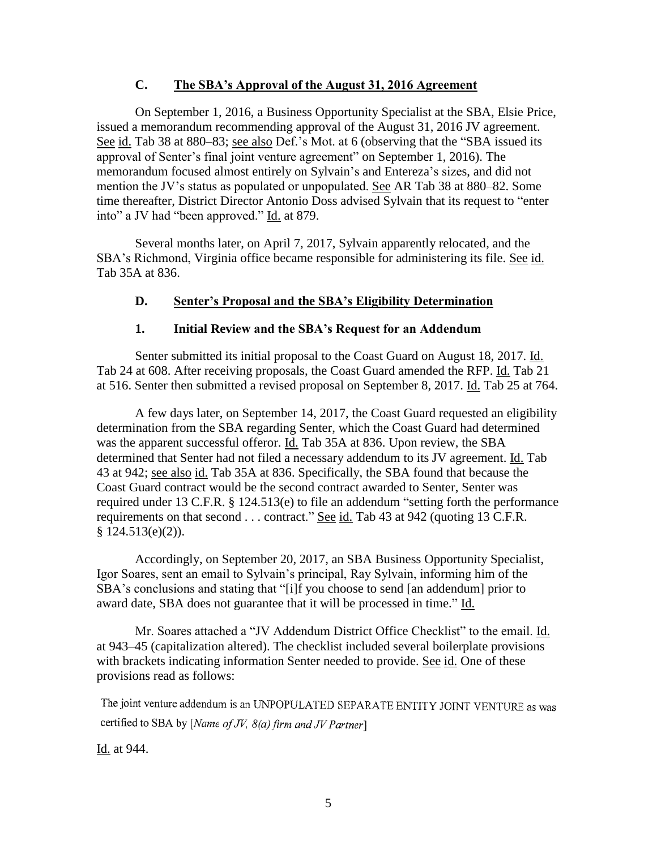## **C. The SBA's Approval of the August 31, 2016 Agreement**

On September 1, 2016, a Business Opportunity Specialist at the SBA, Elsie Price, issued a memorandum recommending approval of the August 31, 2016 JV agreement. See id. Tab 38 at 880–83; see also Def.'s Mot. at 6 (observing that the "SBA issued its approval of Senter's final joint venture agreement" on September 1, 2016). The memorandum focused almost entirely on Sylvain's and Entereza's sizes, and did not mention the JV's status as populated or unpopulated. See AR Tab 38 at 880–82. Some time thereafter, District Director Antonio Doss advised Sylvain that its request to "enter into" a JV had "been approved." Id. at 879.

Several months later, on April 7, 2017, Sylvain apparently relocated, and the SBA's Richmond, Virginia office became responsible for administering its file. See id. Tab 35A at 836.

# **D. Senter's Proposal and the SBA's Eligibility Determination**

## **1. Initial Review and the SBA's Request for an Addendum**

Senter submitted its initial proposal to the Coast Guard on August 18, 2017. Id. Tab 24 at 608. After receiving proposals, the Coast Guard amended the RFP. Id. Tab 21 at 516. Senter then submitted a revised proposal on September 8, 2017. Id. Tab 25 at 764.

A few days later, on September 14, 2017, the Coast Guard requested an eligibility determination from the SBA regarding Senter, which the Coast Guard had determined was the apparent successful offeror. Id. Tab 35A at 836. Upon review, the SBA determined that Senter had not filed a necessary addendum to its JV agreement. Id. Tab 43 at 942; see also id. Tab 35A at 836. Specifically, the SBA found that because the Coast Guard contract would be the second contract awarded to Senter, Senter was required under 13 C.F.R. § 124.513(e) to file an addendum "setting forth the performance requirements on that second . . . contract." See id. Tab 43 at 942 (quoting 13 C.F.R.  $$124.513(e)(2)$ ).

Accordingly, on September 20, 2017, an SBA Business Opportunity Specialist, Igor Soares, sent an email to Sylvain's principal, Ray Sylvain, informing him of the SBA's conclusions and stating that "[i]f you choose to send [an addendum] prior to award date, SBA does not guarantee that it will be processed in time." Id.

Mr. Soares attached a "JV Addendum District Office Checklist" to the email. Id. at 943–45 (capitalization altered). The checklist included several boilerplate provisions with brackets indicating information Senter needed to provide. See id. One of these provisions read as follows:

The joint venture addendum is an UNPOPULATED SEPARATE ENTITY JOINT VENTURE as was certified to SBA by [Name of JV, 8(a) firm and JV Partner]

Id. at 944.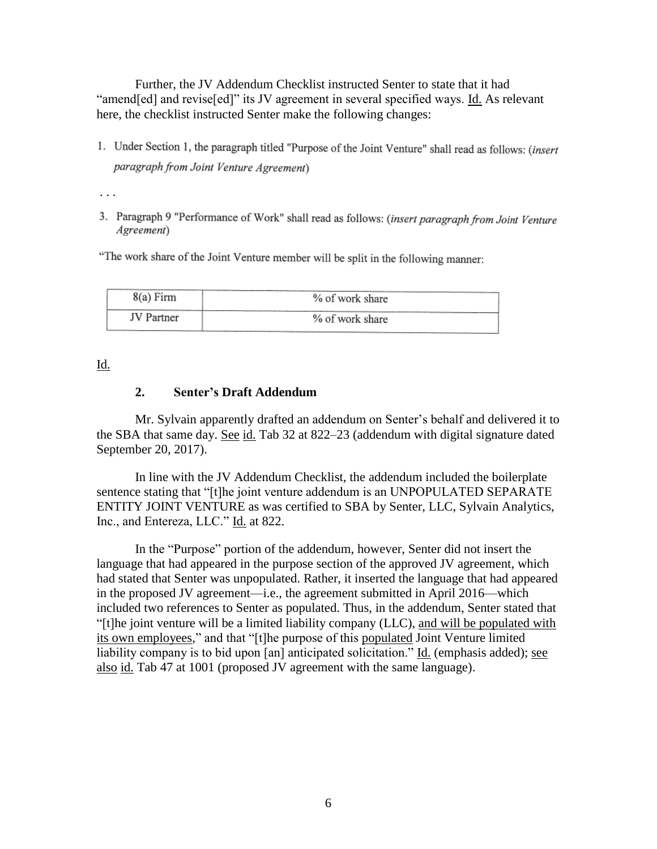Further, the JV Addendum Checklist instructed Senter to state that it had "amend[ed] and revise[ed]" its JV agreement in several specified ways. Id. As relevant here, the checklist instructed Senter make the following changes:

1. Under Section 1, the paragraph titled "Purpose of the Joint Venture" shall read as follows: (insert paragraph from Joint Venture Agreement)

. . .

3. Paragraph 9 "Performance of Work" shall read as follows: (insert paragraph from Joint Venture Agreement)

"The work share of the Joint Venture member will be split in the following manner:

| 8(a) Firm | % of work share |
|-----------|-----------------|
|           | % of work share |

Id.

#### **2. Senter's Draft Addendum**

Mr. Sylvain apparently drafted an addendum on Senter's behalf and delivered it to the SBA that same day. See id. Tab 32 at 822–23 (addendum with digital signature dated September 20, 2017).

In line with the JV Addendum Checklist, the addendum included the boilerplate sentence stating that "[t]he joint venture addendum is an UNPOPULATED SEPARATE ENTITY JOINT VENTURE as was certified to SBA by Senter, LLC, Sylvain Analytics, Inc., and Entereza, LLC." Id. at 822.

In the "Purpose" portion of the addendum, however, Senter did not insert the language that had appeared in the purpose section of the approved JV agreement, which had stated that Senter was unpopulated. Rather, it inserted the language that had appeared in the proposed JV agreement—i.e., the agreement submitted in April 2016—which included two references to Senter as populated. Thus, in the addendum, Senter stated that "[t]he joint venture will be a limited liability company (LLC), and will be populated with its own employees," and that "[t]he purpose of this populated Joint Venture limited liability company is to bid upon [an] anticipated solicitation." Id. (emphasis added); see also id. Tab 47 at 1001 (proposed JV agreement with the same language).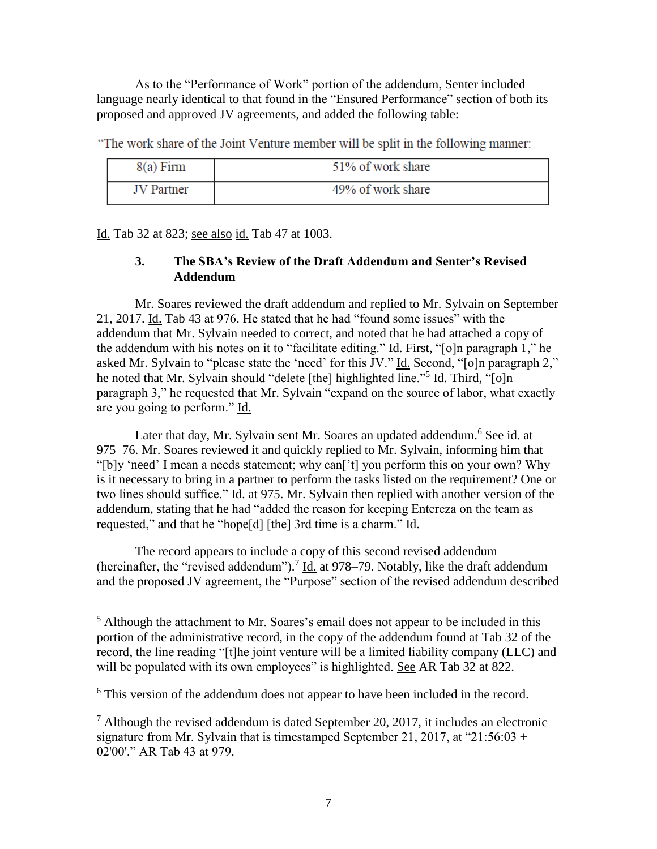As to the "Performance of Work" portion of the addendum, Senter included language nearly identical to that found in the "Ensured Performance" section of both its proposed and approved JV agreements, and added the following table:

"The work share of the Joint Venture member will be split in the following manner:

| $8(a)$ Firm | 51% of work share |
|-------------|-------------------|
| JV Partner  | 49% of work share |

Id. Tab 32 at 823; see also id. Tab 47 at 1003.

# **3. The SBA's Review of the Draft Addendum and Senter's Revised Addendum**

Mr. Soares reviewed the draft addendum and replied to Mr. Sylvain on September 21, 2017. Id. Tab 43 at 976. He stated that he had "found some issues" with the addendum that Mr. Sylvain needed to correct, and noted that he had attached a copy of the addendum with his notes on it to "facilitate editing." Id. First, "[o]n paragraph 1," he asked Mr. Sylvain to "please state the 'need' for this JV." Id. Second, "[o]n paragraph 2," he noted that Mr. Sylvain should "delete [the] highlighted line."<sup>5</sup> Id. Third, "[o]n paragraph 3," he requested that Mr. Sylvain "expand on the source of labor, what exactly are you going to perform." Id.

Later that day, Mr. Sylvain sent Mr. Soares an updated addendum.<sup>6</sup> See id. at 975–76. Mr. Soares reviewed it and quickly replied to Mr. Sylvain, informing him that "[b]y 'need' I mean a needs statement; why can['t] you perform this on your own? Why is it necessary to bring in a partner to perform the tasks listed on the requirement? One or two lines should suffice." Id. at 975. Mr. Sylvain then replied with another version of the addendum, stating that he had "added the reason for keeping Entereza on the team as requested," and that he "hope[d] [the] 3rd time is a charm." Id.

The record appears to include a copy of this second revised addendum (hereinafter, the "revised addendum").<sup>7</sup> Id. at 978–79. Notably, like the draft addendum and the proposed JV agreement, the "Purpose" section of the revised addendum described

 $<sup>5</sup>$  Although the attachment to Mr. Soares's email does not appear to be included in this</sup> portion of the administrative record, in the copy of the addendum found at Tab 32 of the record, the line reading "[t]he joint venture will be a limited liability company (LLC) and will be populated with its own employees" is highlighted. See AR Tab 32 at 822.

<sup>&</sup>lt;sup>6</sup> This version of the addendum does not appear to have been included in the record.

 $^7$  Although the revised addendum is dated September 20, 2017, it includes an electronic signature from Mr. Sylvain that is timestamped September 21, 2017, at "21:56:03 + 02'00'." AR Tab 43 at 979.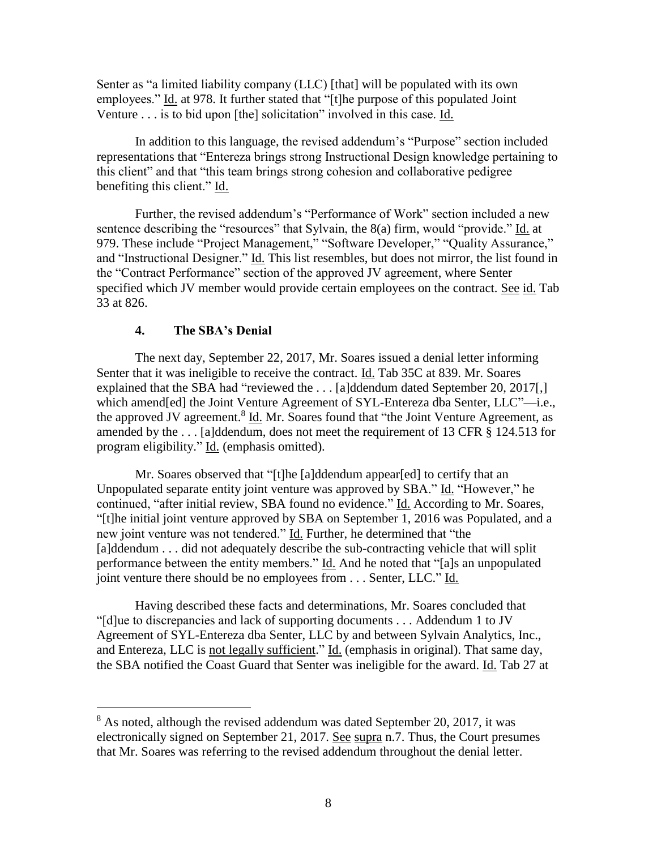Senter as "a limited liability company (LLC) [that] will be populated with its own employees." Id. at 978. It further stated that "[t]he purpose of this populated Joint Venture . . . is to bid upon [the] solicitation" involved in this case. Id.

In addition to this language, the revised addendum's "Purpose" section included representations that "Entereza brings strong Instructional Design knowledge pertaining to this client" and that "this team brings strong cohesion and collaborative pedigree benefiting this client." Id.

Further, the revised addendum's "Performance of Work" section included a new sentence describing the "resources" that Sylvain, the 8(a) firm, would "provide." Id. at 979. These include "Project Management," "Software Developer," "Quality Assurance," and "Instructional Designer." Id. This list resembles, but does not mirror, the list found in the "Contract Performance" section of the approved JV agreement, where Senter specified which JV member would provide certain employees on the contract. See id. Tab 33 at 826.

## **4. The SBA's Denial**

 $\overline{a}$ 

The next day, September 22, 2017, Mr. Soares issued a denial letter informing Senter that it was ineligible to receive the contract. Id. Tab 35C at 839. Mr. Soares explained that the SBA had "reviewed the ... [a]ddendum dated September 20, 2017[,] which amend[ed] the Joint Venture Agreement of SYL-Entereza dba Senter, LLC"—i.e., the approved JV agreement.<sup>8</sup> Id. Mr. Soares found that "the Joint Venture Agreement, as amended by the . . . [a]ddendum, does not meet the requirement of 13 CFR § 124.513 for program eligibility." Id. (emphasis omitted).

Mr. Soares observed that "[t]he [a]ddendum appear[ed] to certify that an Unpopulated separate entity joint venture was approved by SBA." Id. "However," he continued, "after initial review, SBA found no evidence." Id. According to Mr. Soares, "[t]he initial joint venture approved by SBA on September 1, 2016 was Populated, and a new joint venture was not tendered." Id. Further, he determined that "the [a]ddendum . . . did not adequately describe the sub-contracting vehicle that will split performance between the entity members." Id. And he noted that "[a]s an unpopulated joint venture there should be no employees from . . . Senter, LLC." Id.

Having described these facts and determinations, Mr. Soares concluded that "[d]ue to discrepancies and lack of supporting documents . . . Addendum 1 to JV Agreement of SYL-Entereza dba Senter, LLC by and between Sylvain Analytics, Inc., and Entereza, LLC is not legally sufficient." Id. (emphasis in original). That same day, the SBA notified the Coast Guard that Senter was ineligible for the award. Id. Tab 27 at

<sup>&</sup>lt;sup>8</sup> As noted, although the revised addendum was dated September 20, 2017, it was electronically signed on September 21, 2017. See supra n.7. Thus, the Court presumes that Mr. Soares was referring to the revised addendum throughout the denial letter.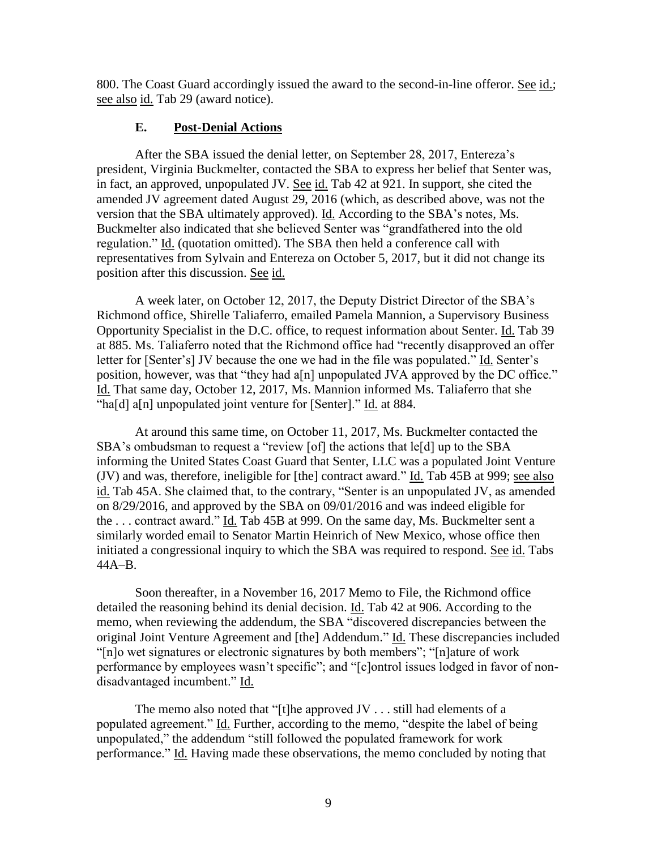800. The Coast Guard accordingly issued the award to the second-in-line offeror. See id.; see also id. Tab 29 (award notice).

## **E. Post-Denial Actions**

After the SBA issued the denial letter, on September 28, 2017, Entereza's president, Virginia Buckmelter, contacted the SBA to express her belief that Senter was, in fact, an approved, unpopulated JV. See id. Tab 42 at 921. In support, she cited the amended JV agreement dated August 29, 2016 (which, as described above, was not the version that the SBA ultimately approved). Id. According to the SBA's notes, Ms. Buckmelter also indicated that she believed Senter was "grandfathered into the old regulation." Id. (quotation omitted). The SBA then held a conference call with representatives from Sylvain and Entereza on October 5, 2017, but it did not change its position after this discussion. See id.

A week later, on October 12, 2017, the Deputy District Director of the SBA's Richmond office, Shirelle Taliaferro, emailed Pamela Mannion, a Supervisory Business Opportunity Specialist in the D.C. office, to request information about Senter. Id. Tab 39 at 885. Ms. Taliaferro noted that the Richmond office had "recently disapproved an offer letter for [Senter's] JV because the one we had in the file was populated." Id. Senter's position, however, was that "they had a[n] unpopulated JVA approved by the DC office." Id. That same day, October 12, 2017, Ms. Mannion informed Ms. Taliaferro that she "ha[d] a[n] unpopulated joint venture for [Senter]." Id. at 884.

At around this same time, on October 11, 2017, Ms. Buckmelter contacted the SBA's ombudsman to request a "review [of] the actions that le[d] up to the SBA informing the United States Coast Guard that Senter, LLC was a populated Joint Venture (JV) and was, therefore, ineligible for [the] contract award." Id. Tab 45B at 999; see also id. Tab 45A. She claimed that, to the contrary, "Senter is an unpopulated JV, as amended on 8/29/2016, and approved by the SBA on 09/01/2016 and was indeed eligible for the . . . contract award." Id. Tab 45B at 999. On the same day, Ms. Buckmelter sent a similarly worded email to Senator Martin Heinrich of New Mexico, whose office then initiated a congressional inquiry to which the SBA was required to respond. See id. Tabs 44A–B.

Soon thereafter, in a November 16, 2017 Memo to File, the Richmond office detailed the reasoning behind its denial decision. Id. Tab 42 at 906. According to the memo, when reviewing the addendum, the SBA "discovered discrepancies between the original Joint Venture Agreement and [the] Addendum." Id. These discrepancies included "[n]o wet signatures or electronic signatures by both members"; "[n]ature of work performance by employees wasn't specific"; and "[c]ontrol issues lodged in favor of nondisadvantaged incumbent." Id.

The memo also noted that "[t]he approved JV . . . still had elements of a populated agreement." Id. Further, according to the memo, "despite the label of being unpopulated," the addendum "still followed the populated framework for work performance." Id. Having made these observations, the memo concluded by noting that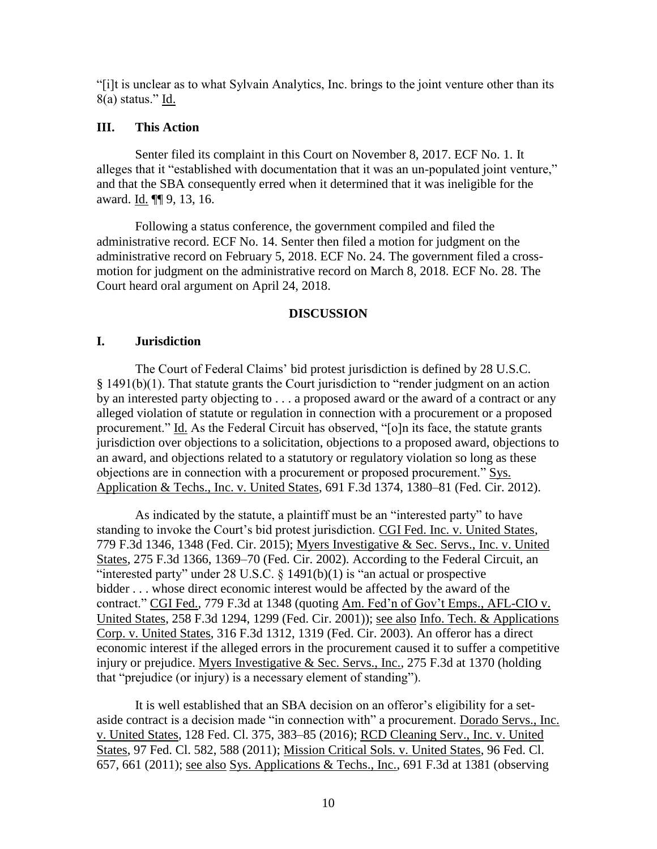"[i]t is unclear as to what Sylvain Analytics, Inc. brings to the joint venture other than its 8(a) status." Id.

## **III. This Action**

Senter filed its complaint in this Court on November 8, 2017. ECF No. 1. It alleges that it "established with documentation that it was an un-populated joint venture," and that the SBA consequently erred when it determined that it was ineligible for the award. **Id. [1]** 9, 13, 16.

Following a status conference, the government compiled and filed the administrative record. ECF No. 14. Senter then filed a motion for judgment on the administrative record on February 5, 2018. ECF No. 24. The government filed a crossmotion for judgment on the administrative record on March 8, 2018. ECF No. 28. The Court heard oral argument on April 24, 2018.

#### **DISCUSSION**

#### **I. Jurisdiction**

The Court of Federal Claims' bid protest jurisdiction is defined by 28 U.S.C. § 1491(b)(1). That statute grants the Court jurisdiction to "render judgment on an action by an interested party objecting to . . . a proposed award or the award of a contract or any alleged violation of statute or regulation in connection with a procurement or a proposed procurement." Id. As the Federal Circuit has observed, "[o]n its face, the statute grants jurisdiction over objections to a solicitation, objections to a proposed award, objections to an award, and objections related to a statutory or regulatory violation so long as these objections are in connection with a procurement or proposed procurement." Sys. Application & Techs., Inc. v. United States, 691 F.3d 1374, 1380–81 (Fed. Cir. 2012).

As indicated by the statute, a plaintiff must be an "interested party" to have standing to invoke the Court's bid protest jurisdiction. CGI Fed. Inc. v. United States, 779 F.3d 1346, 1348 (Fed. Cir. 2015); Myers Investigative & Sec. Servs., Inc. v. United States, 275 F.3d 1366, 1369–70 (Fed. Cir. 2002). According to the Federal Circuit, an "interested party" under  $28 \text{ U.S.C. } 81491(b)(1)$  is "an actual or prospective bidder . . . whose direct economic interest would be affected by the award of the contract." CGI Fed., 779 F.3d at 1348 (quoting Am. Fed'n of Gov't Emps., AFL-CIO v. United States, 258 F.3d 1294, 1299 (Fed. Cir. 2001)); see also Info. Tech. & Applications Corp. v. United States, 316 F.3d 1312, 1319 (Fed. Cir. 2003). An offeror has a direct economic interest if the alleged errors in the procurement caused it to suffer a competitive injury or prejudice. Myers Investigative & Sec. Servs., Inc., 275 F.3d at 1370 (holding that "prejudice (or injury) is a necessary element of standing").

It is well established that an SBA decision on an offeror's eligibility for a setaside contract is a decision made "in connection with" a procurement. Dorado Servs., Inc. v. United States, 128 Fed. Cl. 375, 383–85 (2016); RCD Cleaning Serv., Inc. v. United States, 97 Fed. Cl. 582, 588 (2011); Mission Critical Sols. v. United States, 96 Fed. Cl. 657, 661 (2011); see also Sys. Applications & Techs., Inc., 691 F.3d at 1381 (observing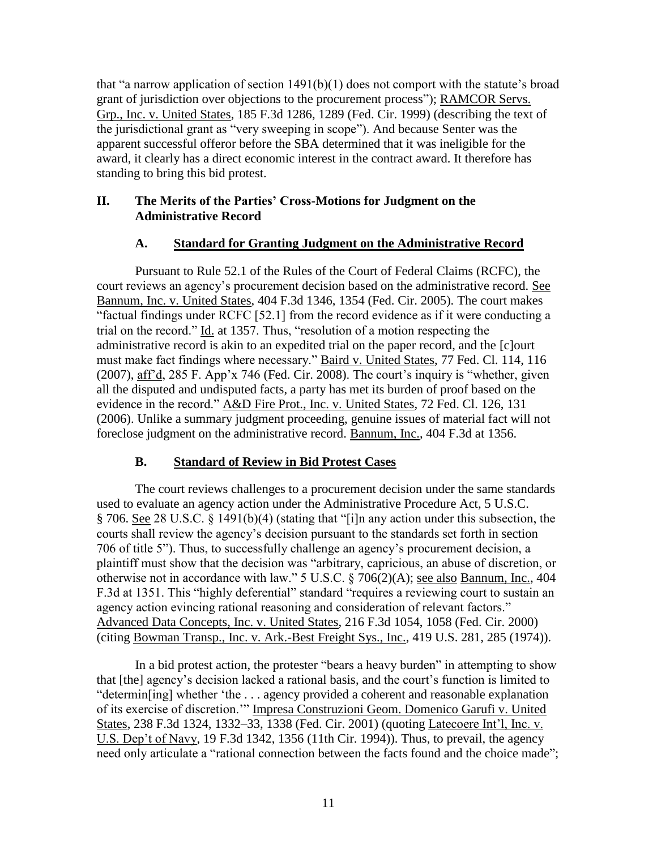that "a narrow application of section  $1491(b)(1)$  does not comport with the statute's broad grant of jurisdiction over objections to the procurement process"); RAMCOR Servs. Grp., Inc. v. United States, 185 F.3d 1286, 1289 (Fed. Cir. 1999) (describing the text of the jurisdictional grant as "very sweeping in scope"). And because Senter was the apparent successful offeror before the SBA determined that it was ineligible for the award, it clearly has a direct economic interest in the contract award. It therefore has standing to bring this bid protest.

# **II. The Merits of the Parties' Cross-Motions for Judgment on the Administrative Record**

# **A. Standard for Granting Judgment on the Administrative Record**

Pursuant to Rule 52.1 of the Rules of the Court of Federal Claims (RCFC), the court reviews an agency's procurement decision based on the administrative record. See Bannum, Inc. v. United States, 404 F.3d 1346, 1354 (Fed. Cir. 2005). The court makes "factual findings under RCFC [52.1] from the record evidence as if it were conducting a trial on the record." Id. at 1357. Thus, "resolution of a motion respecting the administrative record is akin to an expedited trial on the paper record, and the [c]ourt must make fact findings where necessary." Baird v. United States, 77 Fed. Cl. 114, 116 (2007), aff'd, 285 F. App'x 746 (Fed. Cir. 2008). The court's inquiry is "whether, given all the disputed and undisputed facts, a party has met its burden of proof based on the evidence in the record." A&D Fire Prot., Inc. v. United States, 72 Fed. Cl. 126, 131 (2006). Unlike a summary judgment proceeding, genuine issues of material fact will not foreclose judgment on the administrative record. Bannum, Inc., 404 F.3d at 1356.

# **B. Standard of Review in Bid Protest Cases**

The court reviews challenges to a procurement decision under the same standards used to evaluate an agency action under the Administrative Procedure Act, 5 U.S.C. § 706. See 28 U.S.C. § 1491(b)(4) (stating that "[i]n any action under this subsection, the courts shall review the agency's decision pursuant to the standards set forth in section 706 of title 5"). Thus, to successfully challenge an agency's procurement decision, a plaintiff must show that the decision was "arbitrary, capricious, an abuse of discretion, or otherwise not in accordance with law." 5 U.S.C. § 706(2)(A); see also Bannum, Inc., 404 F.3d at 1351. This "highly deferential" standard "requires a reviewing court to sustain an agency action evincing rational reasoning and consideration of relevant factors." Advanced Data Concepts, Inc. v. United States, 216 F.3d 1054, 1058 (Fed. Cir. 2000) (citing Bowman Transp., Inc. v. Ark.-Best Freight Sys., Inc., 419 U.S. 281, 285 (1974)).

In a bid protest action, the protester "bears a heavy burden" in attempting to show that [the] agency's decision lacked a rational basis, and the court's function is limited to "determin[ing] whether 'the . . . agency provided a coherent and reasonable explanation of its exercise of discretion.'" Impresa Construzioni Geom. Domenico Garufi v. United States, 238 F.3d 1324, 1332–33, 1338 (Fed. Cir. 2001) (quoting Latecoere Int'l, Inc. v. U.S. Dep't of Navy, 19 F.3d 1342, 1356 (11th Cir. 1994)). Thus, to prevail, the agency need only articulate a "rational connection between the facts found and the choice made";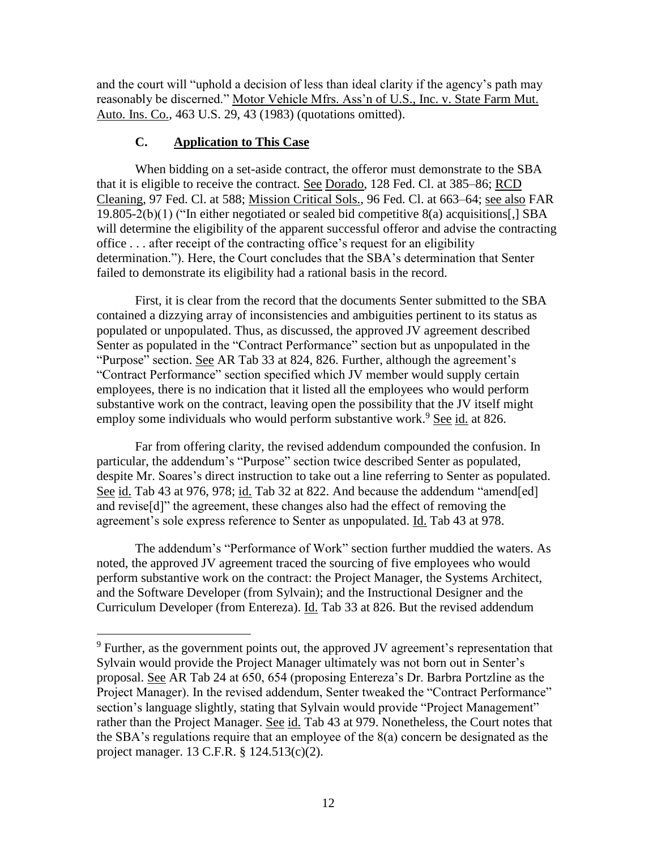and the court will "uphold a decision of less than ideal clarity if the agency's path may reasonably be discerned." Motor Vehicle Mfrs. Ass'n of U.S., Inc. v. State Farm Mut. Auto. Ins. Co., 463 U.S. 29, 43 (1983) (quotations omitted).

# **C. Application to This Case**

When bidding on a set-aside contract, the offeror must demonstrate to the SBA that it is eligible to receive the contract. See Dorado, 128 Fed. Cl. at 385–86; RCD Cleaning, 97 Fed. Cl. at 588; Mission Critical Sols., 96 Fed. Cl. at 663–64; see also FAR 19.805-2(b)(1) ("In either negotiated or sealed bid competitive 8(a) acquisitions[,] SBA will determine the eligibility of the apparent successful offeror and advise the contracting office . . . after receipt of the contracting office's request for an eligibility determination."). Here, the Court concludes that the SBA's determination that Senter failed to demonstrate its eligibility had a rational basis in the record.

First, it is clear from the record that the documents Senter submitted to the SBA contained a dizzying array of inconsistencies and ambiguities pertinent to its status as populated or unpopulated. Thus, as discussed, the approved JV agreement described Senter as populated in the "Contract Performance" section but as unpopulated in the "Purpose" section. See AR Tab 33 at 824, 826. Further, although the agreement's "Contract Performance" section specified which JV member would supply certain employees, there is no indication that it listed all the employees who would perform substantive work on the contract, leaving open the possibility that the JV itself might employ some individuals who would perform substantive work.<sup>9</sup> See id. at 826.

Far from offering clarity, the revised addendum compounded the confusion. In particular, the addendum's "Purpose" section twice described Senter as populated, despite Mr. Soares's direct instruction to take out a line referring to Senter as populated. See id. Tab 43 at 976, 978; id. Tab 32 at 822. And because the addendum "amend[ed] and revise[d]" the agreement, these changes also had the effect of removing the agreement's sole express reference to Senter as unpopulated. Id. Tab 43 at 978.

The addendum's "Performance of Work" section further muddied the waters. As noted, the approved JV agreement traced the sourcing of five employees who would perform substantive work on the contract: the Project Manager, the Systems Architect, and the Software Developer (from Sylvain); and the Instructional Designer and the Curriculum Developer (from Entereza). Id. Tab 33 at 826. But the revised addendum

<sup>&</sup>lt;sup>9</sup> Further, as the government points out, the approved JV agreement's representation that Sylvain would provide the Project Manager ultimately was not born out in Senter's proposal. See AR Tab 24 at 650, 654 (proposing Entereza's Dr. Barbra Portzline as the Project Manager). In the revised addendum, Senter tweaked the "Contract Performance" section's language slightly, stating that Sylvain would provide "Project Management" rather than the Project Manager. See id. Tab 43 at 979. Nonetheless, the Court notes that the SBA's regulations require that an employee of the 8(a) concern be designated as the project manager. 13 C.F.R. § 124.513(c)(2).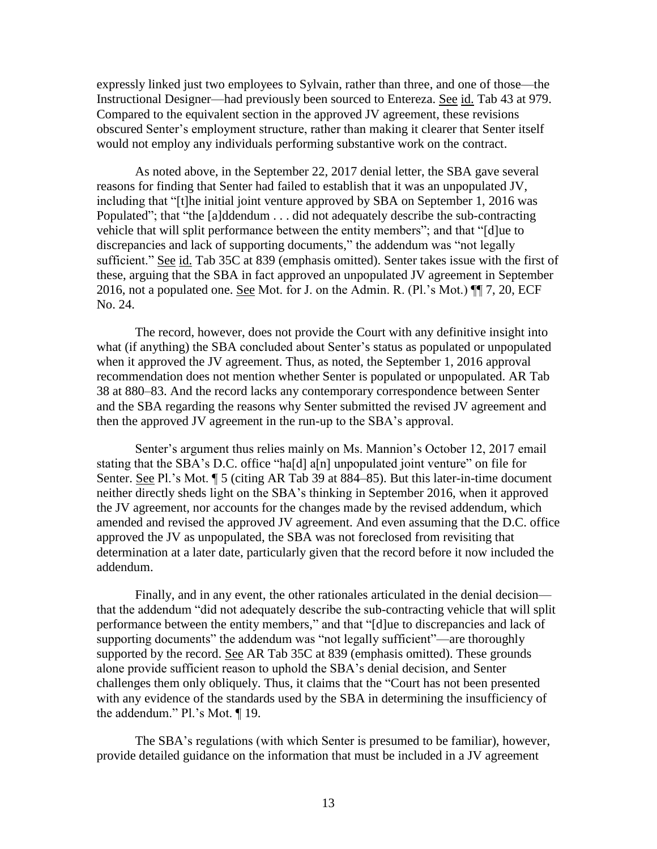expressly linked just two employees to Sylvain, rather than three, and one of those—the Instructional Designer—had previously been sourced to Entereza. See id. Tab 43 at 979. Compared to the equivalent section in the approved JV agreement, these revisions obscured Senter's employment structure, rather than making it clearer that Senter itself would not employ any individuals performing substantive work on the contract.

As noted above, in the September 22, 2017 denial letter, the SBA gave several reasons for finding that Senter had failed to establish that it was an unpopulated JV, including that "[t]he initial joint venture approved by SBA on September 1, 2016 was Populated"; that "the [a]ddendum . . . did not adequately describe the sub-contracting vehicle that will split performance between the entity members"; and that "[d]ue to discrepancies and lack of supporting documents," the addendum was "not legally sufficient." See id. Tab 35C at 839 (emphasis omitted). Senter takes issue with the first of these, arguing that the SBA in fact approved an unpopulated JV agreement in September 2016, not a populated one. See Mot. for J. on the Admin. R. (Pl.'s Mot.) ¶¶ 7, 20, ECF No. 24.

The record, however, does not provide the Court with any definitive insight into what (if anything) the SBA concluded about Senter's status as populated or unpopulated when it approved the JV agreement. Thus, as noted, the September 1, 2016 approval recommendation does not mention whether Senter is populated or unpopulated. AR Tab 38 at 880–83. And the record lacks any contemporary correspondence between Senter and the SBA regarding the reasons why Senter submitted the revised JV agreement and then the approved JV agreement in the run-up to the SBA's approval.

Senter's argument thus relies mainly on Ms. Mannion's October 12, 2017 email stating that the SBA's D.C. office "ha[d] a[n] unpopulated joint venture" on file for Senter. See Pl.'s Mot. ¶ 5 (citing AR Tab 39 at 884–85). But this later-in-time document neither directly sheds light on the SBA's thinking in September 2016, when it approved the JV agreement, nor accounts for the changes made by the revised addendum, which amended and revised the approved JV agreement. And even assuming that the D.C. office approved the JV as unpopulated, the SBA was not foreclosed from revisiting that determination at a later date, particularly given that the record before it now included the addendum.

Finally, and in any event, the other rationales articulated in the denial decision that the addendum "did not adequately describe the sub-contracting vehicle that will split performance between the entity members," and that "[d]ue to discrepancies and lack of supporting documents" the addendum was "not legally sufficient"—are thoroughly supported by the record. See AR Tab 35C at 839 (emphasis omitted). These grounds alone provide sufficient reason to uphold the SBA's denial decision, and Senter challenges them only obliquely. Thus, it claims that the "Court has not been presented with any evidence of the standards used by the SBA in determining the insufficiency of the addendum." Pl.'s Mot. ¶ 19.

The SBA's regulations (with which Senter is presumed to be familiar), however, provide detailed guidance on the information that must be included in a JV agreement